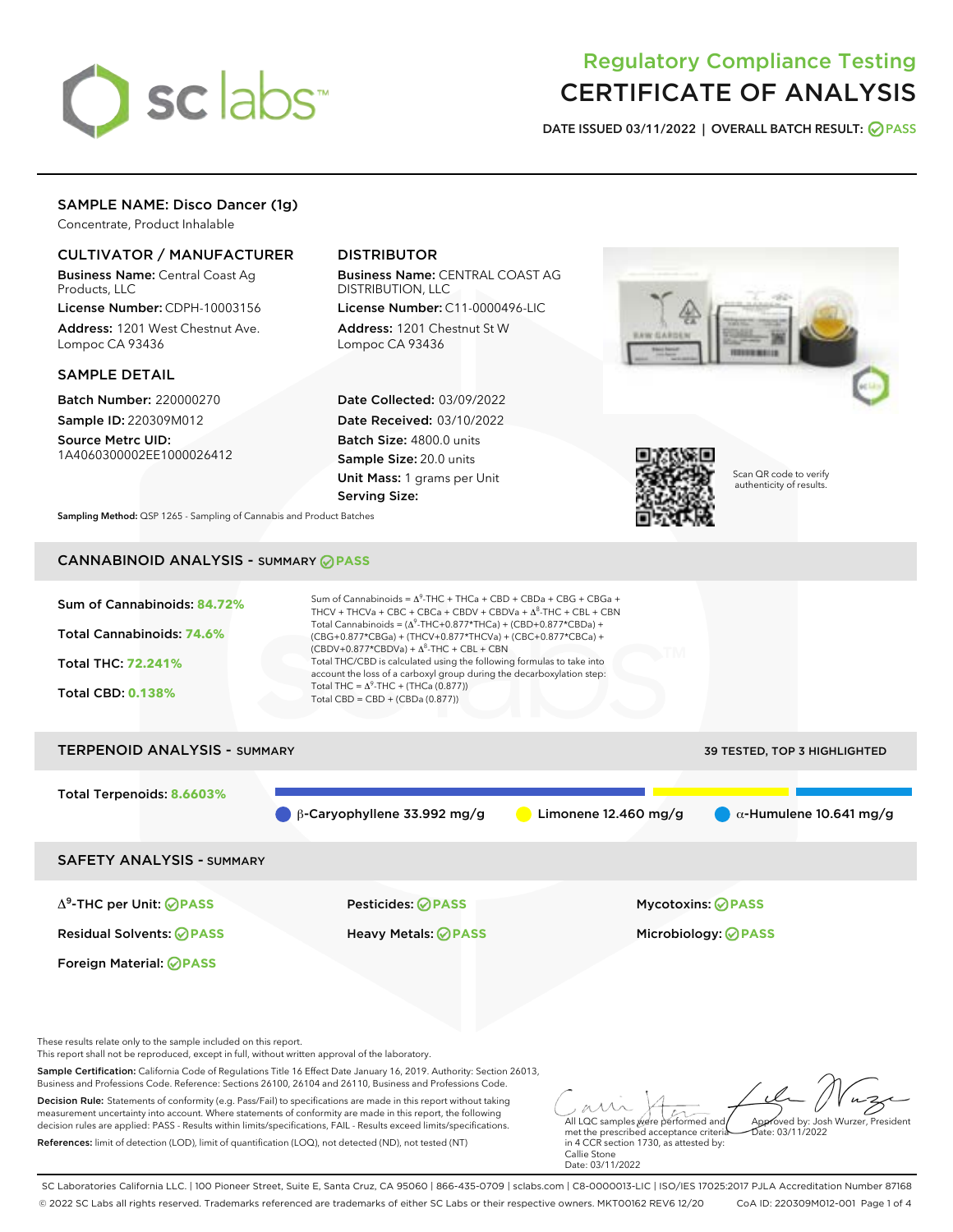

# Regulatory Compliance Testing CERTIFICATE OF ANALYSIS

DATE ISSUED 03/11/2022 | OVERALL BATCH RESULT: @ PASS

# SAMPLE NAME: Disco Dancer (1g)

Concentrate, Product Inhalable

### CULTIVATOR / MANUFACTURER

Business Name: Central Coast Ag Products, LLC

License Number: CDPH-10003156 Address: 1201 West Chestnut Ave. Lompoc CA 93436

#### SAMPLE DETAIL

Batch Number: 220000270 Sample ID: 220309M012

Source Metrc UID: 1A4060300002EE1000026412

## DISTRIBUTOR

Business Name: CENTRAL COAST AG DISTRIBUTION, LLC

License Number: C11-0000496-LIC Address: 1201 Chestnut St W Lompoc CA 93436

Date Collected: 03/09/2022 Date Received: 03/10/2022 Batch Size: 4800.0 units Sample Size: 20.0 units Unit Mass: 1 grams per Unit Serving Size:





Scan QR code to verify authenticity of results.

Sampling Method: QSP 1265 - Sampling of Cannabis and Product Batches

# CANNABINOID ANALYSIS - SUMMARY **PASS**

| Sum of Cannabinoids: 84.72%<br>Total Cannabinoids: 74.6%<br><b>Total THC: 72.241%</b><br><b>Total CBD: 0.138%</b> | Sum of Cannabinoids = $\Delta^{9}$ -THC + THCa + CBD + CBDa + CBG + CBGa +<br>THCV + THCVa + CBC + CBCa + CBDV + CBDVa + $\Delta^8$ -THC + CBL + CBN<br>Total Cannabinoids = $(\Delta^9$ -THC+0.877*THCa) + (CBD+0.877*CBDa) +<br>(CBG+0.877*CBGa) + (THCV+0.877*THCVa) + (CBC+0.877*CBCa) +<br>$(CBDV+0.877*CBDVa) + \Delta^8$ -THC + CBL + CBN<br>Total THC/CBD is calculated using the following formulas to take into<br>account the loss of a carboxyl group during the decarboxylation step:<br>Total THC = $\Delta^9$ -THC + (THCa (0.877))<br>Total CBD = CBD + (CBDa (0.877)) |                        |                                     |
|-------------------------------------------------------------------------------------------------------------------|----------------------------------------------------------------------------------------------------------------------------------------------------------------------------------------------------------------------------------------------------------------------------------------------------------------------------------------------------------------------------------------------------------------------------------------------------------------------------------------------------------------------------------------------------------------------------------------|------------------------|-------------------------------------|
| <b>TERPENOID ANALYSIS - SUMMARY</b>                                                                               |                                                                                                                                                                                                                                                                                                                                                                                                                                                                                                                                                                                        |                        | <b>39 TESTED, TOP 3 HIGHLIGHTED</b> |
| Total Terpenoids: 8.6603%                                                                                         | $\beta$ -Caryophyllene 33.992 mg/g                                                                                                                                                                                                                                                                                                                                                                                                                                                                                                                                                     | Limonene $12.460$ mg/g | $\alpha$ -Humulene 10.641 mg/g      |
| <b>SAFETY ANALYSIS - SUMMARY</b>                                                                                  |                                                                                                                                                                                                                                                                                                                                                                                                                                                                                                                                                                                        |                        |                                     |
| $\Delta^9$ -THC per Unit: $\bigotimes$ PASS                                                                       | Pesticides: ⊘PASS                                                                                                                                                                                                                                                                                                                                                                                                                                                                                                                                                                      |                        | <b>Mycotoxins: ⊘PASS</b>            |

Residual Solvents: **PASS** Heavy Metals: **PASS** Microbiology: **PASS**

Foreign Material: **PASS**

These results relate only to the sample included on this report.

This report shall not be reproduced, except in full, without written approval of the laboratory.

Sample Certification: California Code of Regulations Title 16 Effect Date January 16, 2019. Authority: Section 26013, Business and Professions Code. Reference: Sections 26100, 26104 and 26110, Business and Professions Code.

Decision Rule: Statements of conformity (e.g. Pass/Fail) to specifications are made in this report without taking measurement uncertainty into account. Where statements of conformity are made in this report, the following decision rules are applied: PASS - Results within limits/specifications, FAIL - Results exceed limits/specifications. References: limit of detection (LOD), limit of quantification (LOQ), not detected (ND), not tested (NT)

All LQC samples were performed and Approved by: Josh Wurzer, President  $ate: 03/11/2022$ 

met the prescribed acceptance criteria in 4 CCR section 1730, as attested by: Callie Stone Date: 03/11/2022

SC Laboratories California LLC. | 100 Pioneer Street, Suite E, Santa Cruz, CA 95060 | 866-435-0709 | sclabs.com | C8-0000013-LIC | ISO/IES 17025:2017 PJLA Accreditation Number 87168 © 2022 SC Labs all rights reserved. Trademarks referenced are trademarks of either SC Labs or their respective owners. MKT00162 REV6 12/20 CoA ID: 220309M012-001 Page 1 of 4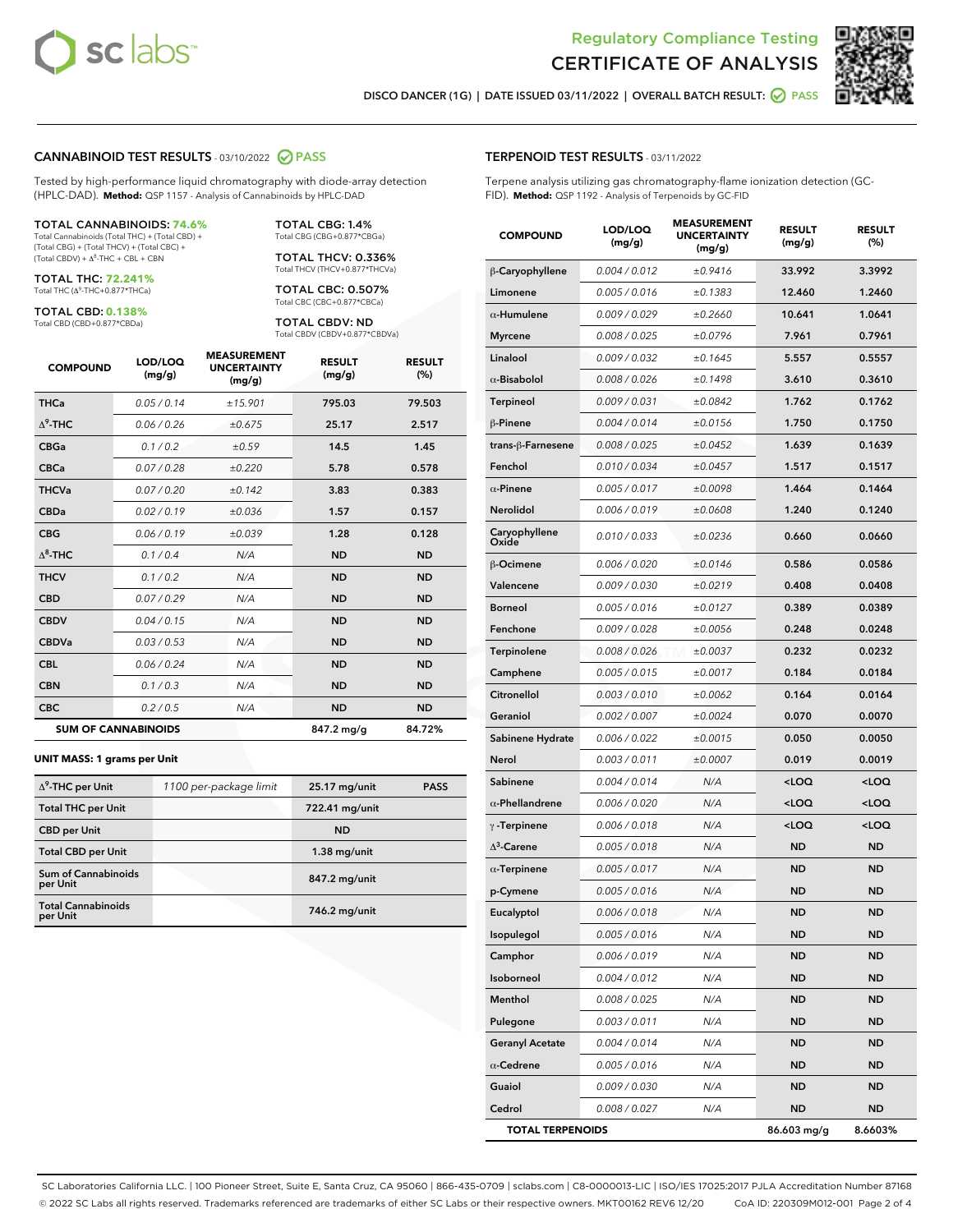



DISCO DANCER (1G) | DATE ISSUED 03/11/2022 | OVERALL BATCH RESULT: **○** PASS

#### CANNABINOID TEST RESULTS - 03/10/2022 2 PASS

Tested by high-performance liquid chromatography with diode-array detection (HPLC-DAD). **Method:** QSP 1157 - Analysis of Cannabinoids by HPLC-DAD

#### TOTAL CANNABINOIDS: **74.6%**

Total Cannabinoids (Total THC) + (Total CBD) + (Total CBG) + (Total THCV) + (Total CBC) +  $(Total$  CBDV) +  $\Delta$ <sup>8</sup>-THC + CBL + CBN

TOTAL THC: **72.241%** Total THC (Δ<sup>9</sup> -THC+0.877\*THCa)

TOTAL CBD: **0.138%**

Total CBD (CBD+0.877\*CBDa)

TOTAL CBG: 1.4% Total CBG (CBG+0.877\*CBGa)

TOTAL THCV: 0.336% Total THCV (THCV+0.877\*THCVa)

TOTAL CBC: 0.507% Total CBC (CBC+0.877\*CBCa)

TOTAL CBDV: ND Total CBDV (CBDV+0.877\*CBDVa)

| <b>COMPOUND</b>  | LOD/LOO<br>(mg/g)          | <b>MEASUREMENT</b><br><b>UNCERTAINTY</b><br>(mg/g) | <b>RESULT</b><br>(mg/g) | <b>RESULT</b><br>(%) |
|------------------|----------------------------|----------------------------------------------------|-------------------------|----------------------|
| <b>THCa</b>      | 0.05 / 0.14                | ±15.901                                            | 795.03                  | 79.503               |
| $\Delta^9$ -THC  | 0.06 / 0.26                | ±0.675                                             | 25.17                   | 2.517                |
| <b>CBGa</b>      | 0.1/0.2                    | ±0.59                                              | 14.5                    | 1.45                 |
| <b>CBCa</b>      | 0.07/0.28                  | ±0.220                                             | 5.78                    | 0.578                |
| <b>THCVa</b>     | 0.07/0.20                  | ±0.142                                             | 3.83                    | 0.383                |
| <b>CBDa</b>      | 0.02 / 0.19                | ±0.036                                             | 1.57                    | 0.157                |
| <b>CBG</b>       | 0.06/0.19                  | ±0.039                                             | 1.28                    | 0.128                |
| $\Lambda^8$ -THC | 0.1 / 0.4                  | N/A                                                | <b>ND</b>               | <b>ND</b>            |
| <b>THCV</b>      | 0.1/0.2                    | N/A                                                | <b>ND</b>               | <b>ND</b>            |
| <b>CBD</b>       | 0.07/0.29                  | N/A                                                | <b>ND</b>               | <b>ND</b>            |
| <b>CBDV</b>      | 0.04 / 0.15                | N/A                                                | <b>ND</b>               | <b>ND</b>            |
| <b>CBDVa</b>     | 0.03 / 0.53                | N/A                                                | <b>ND</b>               | <b>ND</b>            |
| <b>CBL</b>       | 0.06 / 0.24                | N/A                                                | <b>ND</b>               | <b>ND</b>            |
| <b>CBN</b>       | 0.1/0.3                    | N/A                                                | <b>ND</b>               | <b>ND</b>            |
| <b>CBC</b>       | 0.2 / 0.5                  | N/A                                                | <b>ND</b>               | <b>ND</b>            |
|                  | <b>SUM OF CANNABINOIDS</b> |                                                    | 847.2 mg/g              | 84.72%               |

#### **UNIT MASS: 1 grams per Unit**

| $\Delta^9$ -THC per Unit              | 1100 per-package limit | 25.17 mg/unit  | <b>PASS</b> |
|---------------------------------------|------------------------|----------------|-------------|
| <b>Total THC per Unit</b>             |                        | 722.41 mg/unit |             |
| <b>CBD</b> per Unit                   |                        | <b>ND</b>      |             |
| <b>Total CBD per Unit</b>             |                        | $1.38$ mg/unit |             |
| Sum of Cannabinoids<br>per Unit       |                        | 847.2 mg/unit  |             |
| <b>Total Cannabinoids</b><br>per Unit |                        | 746.2 mg/unit  |             |

# TERPENOID TEST RESULTS - 03/11/2022

Terpene analysis utilizing gas chromatography-flame ionization detection (GC-FID). **Method:** QSP 1192 - Analysis of Terpenoids by GC-FID

| <b>COMPOUND</b>         | LOD/LOQ<br>(mg/g) | <b>MEASUREMENT</b><br><b>UNCERTAINTY</b><br>(mg/g) | <b>RESULT</b><br>(mg/g)                          | <b>RESULT</b><br>(%) |
|-------------------------|-------------------|----------------------------------------------------|--------------------------------------------------|----------------------|
| β-Caryophyllene         | 0.004 / 0.012     | ±0.9416                                            | 33.992                                           | 3.3992               |
| Limonene                | 0.005 / 0.016     | ±0.1383                                            | 12.460                                           | 1.2460               |
| $\alpha$ -Humulene      | 0.009/0.029       | ±0.2660                                            | 10.641                                           | 1.0641               |
| <b>Myrcene</b>          | 0.008 / 0.025     | ±0.0796                                            | 7.961                                            | 0.7961               |
| Linalool                | 0.009 / 0.032     | ±0.1645                                            | 5.557                                            | 0.5557               |
| $\alpha$ -Bisabolol     | 0.008 / 0.026     | ±0.1498                                            | 3.610                                            | 0.3610               |
| Terpineol               | 0.009 / 0.031     | ±0.0842                                            | 1.762                                            | 0.1762               |
| $\beta$ -Pinene         | 0.004 / 0.014     | ±0.0156                                            | 1.750                                            | 0.1750               |
| trans-ß-Farnesene       | 0.008 / 0.025     | ±0.0452                                            | 1.639                                            | 0.1639               |
| Fenchol                 | 0.010 / 0.034     | ±0.0457                                            | 1.517                                            | 0.1517               |
| $\alpha$ -Pinene        | 0.005 / 0.017     | ±0.0098                                            | 1.464                                            | 0.1464               |
| Nerolidol               | 0.006 / 0.019     | ±0.0608                                            | 1.240                                            | 0.1240               |
| Caryophyllene<br>Oxide  | 0.010 / 0.033     | ±0.0236                                            | 0.660                                            | 0.0660               |
| <b>B-Ocimene</b>        | 0.006 / 0.020     | ±0.0146                                            | 0.586                                            | 0.0586               |
| Valencene               | 0.009 / 0.030     | ±0.0219                                            | 0.408                                            | 0.0408               |
| <b>Borneol</b>          | 0.005 / 0.016     | ±0.0127                                            | 0.389                                            | 0.0389               |
| Fenchone                | 0.009 / 0.028     | ±0.0056                                            | 0.248                                            | 0.0248               |
| Terpinolene             | 0.008 / 0.026     | ±0.0037                                            | 0.232                                            | 0.0232               |
| Camphene                | 0.005 / 0.015     | ±0.0017                                            | 0.184                                            | 0.0184               |
| Citronellol             | 0.003 / 0.010     | ±0.0062                                            | 0.164                                            | 0.0164               |
| Geraniol                | 0.002 / 0.007     | ±0.0024                                            | 0.070                                            | 0.0070               |
| Sabinene Hydrate        | 0.006 / 0.022     | ±0.0015                                            | 0.050                                            | 0.0050               |
| <b>Nerol</b>            | 0.003 / 0.011     | ±0.0007                                            | 0.019                                            | 0.0019               |
| Sabinene                | 0.004 / 0.014     | N/A                                                | <loq< th=""><th><math>&lt;</math>LOQ</th></loq<> | $<$ LOQ              |
| $\alpha$ -Phellandrene  | 0.006 / 0.020     | N/A                                                | <loq< th=""><th><loq< th=""></loq<></th></loq<>  | <loq< th=""></loq<>  |
| $\gamma$ -Terpinene     | 0.006 / 0.018     | N/A                                                | <loq< th=""><th><loq< th=""></loq<></th></loq<>  | <loq< th=""></loq<>  |
| $\Lambda^3$ -Carene     | 0.005 / 0.018     | N/A                                                | ND                                               | <b>ND</b>            |
| $\alpha$ -Terpinene     | 0.005 / 0.017     | N/A                                                | <b>ND</b>                                        | <b>ND</b>            |
| p-Cymene                | 0.005 / 0.016     | N/A                                                | ND                                               | <b>ND</b>            |
| Eucalyptol              | 0.006 / 0.018     | N/A                                                | <b>ND</b>                                        | <b>ND</b>            |
| Isopulegol              | 0.005 / 0.016     | N/A                                                | ND                                               | ND                   |
| Camphor                 | 0.006 / 0.019     | N/A                                                | ND                                               | ND                   |
| Isoborneol              | 0.004 / 0.012     | N/A                                                | <b>ND</b>                                        | ND                   |
| Menthol                 | 0.008 / 0.025     | N/A                                                | <b>ND</b>                                        | ND                   |
| Pulegone                | 0.003 / 0.011     | N/A                                                | ND                                               | ND                   |
| <b>Geranyl Acetate</b>  | 0.004 / 0.014     | N/A                                                | <b>ND</b>                                        | ND                   |
| $\alpha$ -Cedrene       | 0.005 / 0.016     | N/A                                                | <b>ND</b>                                        | ND                   |
| Guaiol                  | 0.009 / 0.030     | N/A                                                | ND                                               | ND                   |
| Cedrol                  | 0.008 / 0.027     | N/A                                                | <b>ND</b>                                        | ND                   |
| <b>TOTAL TERPENOIDS</b> |                   | 86.603 mg/g                                        | 8.6603%                                          |                      |

SC Laboratories California LLC. | 100 Pioneer Street, Suite E, Santa Cruz, CA 95060 | 866-435-0709 | sclabs.com | C8-0000013-LIC | ISO/IES 17025:2017 PJLA Accreditation Number 87168 © 2022 SC Labs all rights reserved. Trademarks referenced are trademarks of either SC Labs or their respective owners. MKT00162 REV6 12/20 CoA ID: 220309M012-001 Page 2 of 4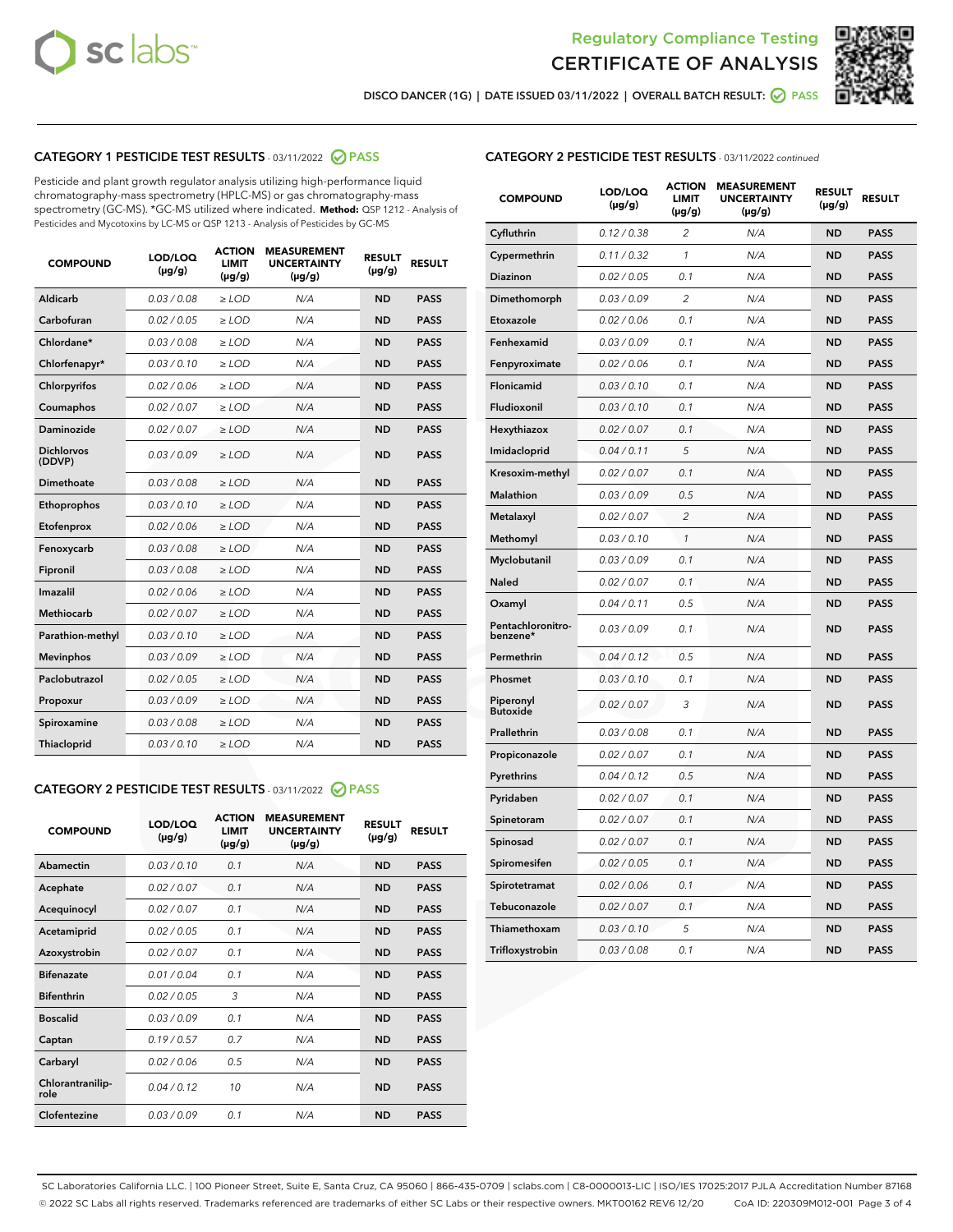



DISCO DANCER (1G) | DATE ISSUED 03/11/2022 | OVERALL BATCH RESULT:  $\bigcirc$  PASS

### CATEGORY 1 PESTICIDE TEST RESULTS - 03/11/2022 2 PASS

Pesticide and plant growth regulator analysis utilizing high-performance liquid chromatography-mass spectrometry (HPLC-MS) or gas chromatography-mass spectrometry (GC-MS). \*GC-MS utilized where indicated. **Method:** QSP 1212 - Analysis of Pesticides and Mycotoxins by LC-MS or QSP 1213 - Analysis of Pesticides by GC-MS

| <b>COMPOUND</b>             | LOD/LOQ<br>$(\mu g/g)$ | <b>ACTION</b><br>LIMIT<br>$(\mu g/g)$ | <b>MEASUREMENT</b><br><b>UNCERTAINTY</b><br>$(\mu g/g)$ | <b>RESULT</b><br>$(\mu g/g)$ | <b>RESULT</b> |
|-----------------------------|------------------------|---------------------------------------|---------------------------------------------------------|------------------------------|---------------|
| Aldicarb                    | 0.03 / 0.08            | $\ge$ LOD                             | N/A                                                     | <b>ND</b>                    | <b>PASS</b>   |
| Carbofuran                  | 0.02 / 0.05            | $\ge$ LOD                             | N/A                                                     | <b>ND</b>                    | <b>PASS</b>   |
| Chlordane*                  | 0.03 / 0.08            | $\ge$ LOD                             | N/A                                                     | <b>ND</b>                    | <b>PASS</b>   |
| Chlorfenapyr*               | 0.03/0.10              | $\ge$ LOD                             | N/A                                                     | <b>ND</b>                    | <b>PASS</b>   |
| Chlorpyrifos                | 0.02/0.06              | $\ge$ LOD                             | N/A                                                     | <b>ND</b>                    | <b>PASS</b>   |
| Coumaphos                   | 0.02 / 0.07            | $>$ LOD                               | N/A                                                     | <b>ND</b>                    | <b>PASS</b>   |
| Daminozide                  | 0.02 / 0.07            | $>$ LOD                               | N/A                                                     | <b>ND</b>                    | <b>PASS</b>   |
| <b>Dichlorvos</b><br>(DDVP) | 0.03/0.09              | $\ge$ LOD                             | N/A                                                     | <b>ND</b>                    | <b>PASS</b>   |
| Dimethoate                  | 0.03/0.08              | $>$ LOD                               | N/A                                                     | <b>ND</b>                    | <b>PASS</b>   |
| Ethoprophos                 | 0.03/0.10              | $\ge$ LOD                             | N/A                                                     | <b>ND</b>                    | <b>PASS</b>   |
| Etofenprox                  | 0.02 / 0.06            | $>$ LOD                               | N/A                                                     | <b>ND</b>                    | <b>PASS</b>   |
| Fenoxycarb                  | 0.03/0.08              | $>$ LOD                               | N/A                                                     | <b>ND</b>                    | <b>PASS</b>   |
| Fipronil                    | 0.03/0.08              | $\ge$ LOD                             | N/A                                                     | <b>ND</b>                    | <b>PASS</b>   |
| Imazalil                    | 0.02 / 0.06            | $>$ LOD                               | N/A                                                     | <b>ND</b>                    | <b>PASS</b>   |
| <b>Methiocarb</b>           | 0.02 / 0.07            | $\ge$ LOD                             | N/A                                                     | <b>ND</b>                    | <b>PASS</b>   |
| Parathion-methyl            | 0.03/0.10              | $>$ LOD                               | N/A                                                     | <b>ND</b>                    | <b>PASS</b>   |
| <b>Mevinphos</b>            | 0.03/0.09              | $\ge$ LOD                             | N/A                                                     | <b>ND</b>                    | <b>PASS</b>   |
| Paclobutrazol               | 0.02 / 0.05            | $\ge$ LOD                             | N/A                                                     | <b>ND</b>                    | <b>PASS</b>   |
| Propoxur                    | 0.03/0.09              | $\ge$ LOD                             | N/A                                                     | <b>ND</b>                    | <b>PASS</b>   |
| Spiroxamine                 | 0.03/0.08              | $\ge$ LOD                             | N/A                                                     | <b>ND</b>                    | <b>PASS</b>   |
| Thiacloprid                 | 0.03/0.10              | $>$ LOD                               | N/A                                                     | <b>ND</b>                    | <b>PASS</b>   |
|                             |                        |                                       |                                                         |                              |               |

#### CATEGORY 2 PESTICIDE TEST RESULTS - 03/11/2022 @ PASS

| <b>COMPOUND</b>          | LOD/LOQ<br>$(\mu g/g)$ | <b>ACTION</b><br><b>LIMIT</b><br>$(\mu g/g)$ | <b>MEASUREMENT</b><br><b>UNCERTAINTY</b><br>$(\mu g/g)$ | <b>RESULT</b><br>$(\mu g/g)$ | <b>RESULT</b> |
|--------------------------|------------------------|----------------------------------------------|---------------------------------------------------------|------------------------------|---------------|
| Abamectin                | 0.03/0.10              | 0.1                                          | N/A                                                     | <b>ND</b>                    | <b>PASS</b>   |
| Acephate                 | 0.02/0.07              | 0.1                                          | N/A                                                     | <b>ND</b>                    | <b>PASS</b>   |
| Acequinocyl              | 0.02/0.07              | 0.1                                          | N/A                                                     | <b>ND</b>                    | <b>PASS</b>   |
| Acetamiprid              | 0.02/0.05              | 0.1                                          | N/A                                                     | <b>ND</b>                    | <b>PASS</b>   |
| Azoxystrobin             | 0.02 / 0.07            | 0.1                                          | N/A                                                     | <b>ND</b>                    | <b>PASS</b>   |
| <b>Bifenazate</b>        | 0.01/0.04              | 0.1                                          | N/A                                                     | <b>ND</b>                    | <b>PASS</b>   |
| <b>Bifenthrin</b>        | 0.02 / 0.05            | 3                                            | N/A                                                     | <b>ND</b>                    | <b>PASS</b>   |
| <b>Boscalid</b>          | 0.03/0.09              | 0.1                                          | N/A                                                     | <b>ND</b>                    | <b>PASS</b>   |
| Captan                   | 0.19/0.57              | 0.7                                          | N/A                                                     | <b>ND</b>                    | <b>PASS</b>   |
| Carbaryl                 | 0.02/0.06              | 0.5                                          | N/A                                                     | <b>ND</b>                    | <b>PASS</b>   |
| Chlorantranilip-<br>role | 0.04/0.12              | 10                                           | N/A                                                     | <b>ND</b>                    | <b>PASS</b>   |
| Clofentezine             | 0.03/0.09              | 0.1                                          | N/A                                                     | <b>ND</b>                    | <b>PASS</b>   |

| <b>CATEGORY 2 PESTICIDE TEST RESULTS</b> - 03/11/2022 continued |  |
|-----------------------------------------------------------------|--|
|-----------------------------------------------------------------|--|

| <b>COMPOUND</b>               | LOD/LOQ<br>(µg/g) | <b>ACTION</b><br><b>LIMIT</b><br>$(\mu g/g)$ | <b>MEASUREMENT</b><br><b>UNCERTAINTY</b><br>(µg/g) | <b>RESULT</b><br>(µg/g) | <b>RESULT</b> |
|-------------------------------|-------------------|----------------------------------------------|----------------------------------------------------|-------------------------|---------------|
| Cyfluthrin                    | 0.12 / 0.38       | $\overline{c}$                               | N/A                                                | <b>ND</b>               | <b>PASS</b>   |
| Cypermethrin                  | 0.11 / 0.32       | 1                                            | N/A                                                | <b>ND</b>               | <b>PASS</b>   |
| <b>Diazinon</b>               | 0.02 / 0.05       | 0.1                                          | N/A                                                | <b>ND</b>               | <b>PASS</b>   |
| Dimethomorph                  | 0.03 / 0.09       | $\overline{2}$                               | N/A                                                | <b>ND</b>               | <b>PASS</b>   |
| Etoxazole                     | 0.02 / 0.06       | 0.1                                          | N/A                                                | <b>ND</b>               | <b>PASS</b>   |
| Fenhexamid                    | 0.03 / 0.09       | 0.1                                          | N/A                                                | <b>ND</b>               | <b>PASS</b>   |
| Fenpyroximate                 | 0.02 / 0.06       | 0.1                                          | N/A                                                | <b>ND</b>               | <b>PASS</b>   |
| Flonicamid                    | 0.03 / 0.10       | 0.1                                          | N/A                                                | <b>ND</b>               | <b>PASS</b>   |
| Fludioxonil                   | 0.03 / 0.10       | 0.1                                          | N/A                                                | <b>ND</b>               | <b>PASS</b>   |
| Hexythiazox                   | 0.02 / 0.07       | 0.1                                          | N/A                                                | <b>ND</b>               | <b>PASS</b>   |
| Imidacloprid                  | 0.04 / 0.11       | 5                                            | N/A                                                | <b>ND</b>               | <b>PASS</b>   |
| Kresoxim-methyl               | 0.02 / 0.07       | 0.1                                          | N/A                                                | <b>ND</b>               | <b>PASS</b>   |
| <b>Malathion</b>              | 0.03 / 0.09       | 0.5                                          | N/A                                                | <b>ND</b>               | <b>PASS</b>   |
| Metalaxyl                     | 0.02 / 0.07       | $\overline{c}$                               | N/A                                                | <b>ND</b>               | <b>PASS</b>   |
| Methomyl                      | 0.03 / 0.10       | $\mathbf{1}$                                 | N/A                                                | <b>ND</b>               | <b>PASS</b>   |
| Myclobutanil                  | 0.03 / 0.09       | 0.1                                          | N/A                                                | <b>ND</b>               | <b>PASS</b>   |
| Naled                         | 0.02 / 0.07       | 0.1                                          | N/A                                                | <b>ND</b>               | <b>PASS</b>   |
| Oxamyl                        | 0.04 / 0.11       | 0.5                                          | N/A                                                | <b>ND</b>               | <b>PASS</b>   |
| Pentachloronitro-<br>benzene* | 0.03 / 0.09       | 0.1                                          | N/A                                                | <b>ND</b>               | <b>PASS</b>   |
| Permethrin                    | 0.04 / 0.12       | 0.5                                          | N/A                                                | <b>ND</b>               | <b>PASS</b>   |
| Phosmet                       | 0.03 / 0.10       | 0.1                                          | N/A                                                | <b>ND</b>               | <b>PASS</b>   |
| Piperonyl<br><b>Butoxide</b>  | 0.02 / 0.07       | 3                                            | N/A                                                | <b>ND</b>               | <b>PASS</b>   |
| Prallethrin                   | 0.03 / 0.08       | 0.1                                          | N/A                                                | <b>ND</b>               | <b>PASS</b>   |
| Propiconazole                 | 0.02 / 0.07       | 0.1                                          | N/A                                                | <b>ND</b>               | <b>PASS</b>   |
| Pyrethrins                    | 0.04 / 0.12       | 0.5                                          | N/A                                                | <b>ND</b>               | <b>PASS</b>   |
| Pyridaben                     | 0.02 / 0.07       | 0.1                                          | N/A                                                | <b>ND</b>               | <b>PASS</b>   |
| Spinetoram                    | 0.02 / 0.07       | 0.1                                          | N/A                                                | <b>ND</b>               | <b>PASS</b>   |
| Spinosad                      | 0.02 / 0.07       | 0.1                                          | N/A                                                | <b>ND</b>               | <b>PASS</b>   |
| Spiromesifen                  | 0.02 / 0.05       | 0.1                                          | N/A                                                | ND                      | <b>PASS</b>   |
| Spirotetramat                 | 0.02 / 0.06       | 0.1                                          | N/A                                                | <b>ND</b>               | <b>PASS</b>   |
| Tebuconazole                  | 0.02 / 0.07       | 0.1                                          | N/A                                                | <b>ND</b>               | <b>PASS</b>   |
| Thiamethoxam                  | 0.03 / 0.10       | 5                                            | N/A                                                | <b>ND</b>               | <b>PASS</b>   |
| Trifloxystrobin               | 0.03 / 0.08       | 0.1                                          | N/A                                                | ND                      | <b>PASS</b>   |

SC Laboratories California LLC. | 100 Pioneer Street, Suite E, Santa Cruz, CA 95060 | 866-435-0709 | sclabs.com | C8-0000013-LIC | ISO/IES 17025:2017 PJLA Accreditation Number 87168 © 2022 SC Labs all rights reserved. Trademarks referenced are trademarks of either SC Labs or their respective owners. MKT00162 REV6 12/20 CoA ID: 220309M012-001 Page 3 of 4